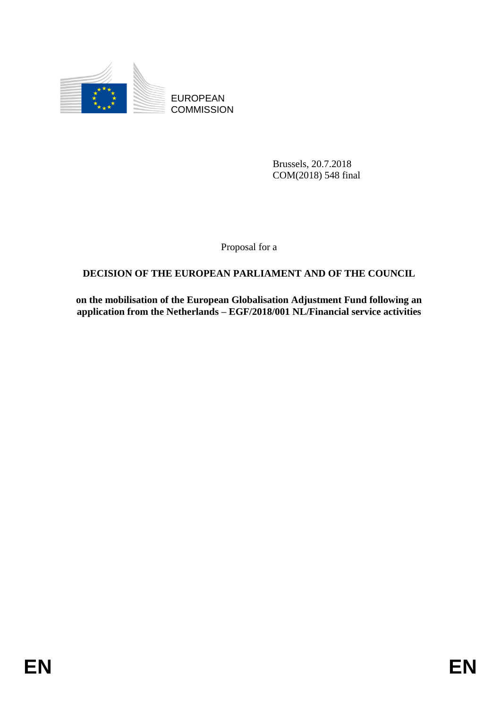

EUROPEAN **COMMISSION** 

> Brussels, 20.7.2018 COM(2018) 548 final

Proposal for a

# **DECISION OF THE EUROPEAN PARLIAMENT AND OF THE COUNCIL**

**on the mobilisation of the European Globalisation Adjustment Fund following an application from the Netherlands – EGF/2018/001 NL/Financial service activities**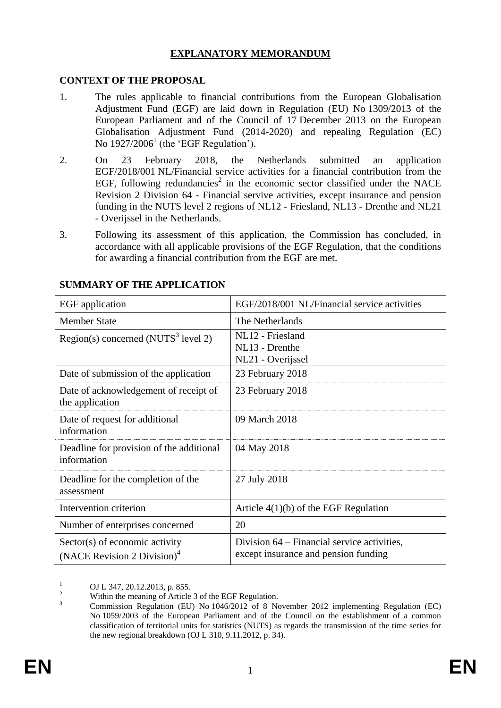### **EXPLANATORY MEMORANDUM**

### **CONTEXT OF THE PROPOSAL**

- 1. The rules applicable to financial contributions from the European Globalisation Adjustment Fund (EGF) are laid down in Regulation (EU) No 1309/2013 of the European Parliament and of the Council of 17 December 2013 on the European Globalisation Adjustment Fund (2014-2020) and repealing Regulation (EC) No  $1927/2006<sup>1</sup>$  (the 'EGF Regulation').
- <span id="page-1-0"></span>2. On 23 February 2018, the Netherlands submitted an application EGF/2018/001 NL/Financial service activities for a financial contribution from the EGF, following redundancies<sup>2</sup> in the economic sector classified under the NACE Revision 2 Division 64 - Financial servive activities, except insurance and pension funding in the NUTS level 2 regions of NL12 - Friesland, NL13 - Drenthe and NL21 - Overijssel in the Netherlands.
- 3. Following its assessment of this application, the Commission has concluded, in accordance with all applicable provisions of the EGF Regulation, that the conditions for awarding a financial contribution from the EGF are met.

| EGF application                                                           | EGF/2018/001 NL/Financial service activities                                        |
|---------------------------------------------------------------------------|-------------------------------------------------------------------------------------|
| <b>Member State</b>                                                       | The Netherlands                                                                     |
| Region(s) concerned (NUTS <sup>3</sup> level 2)                           | NL12 - Friesland<br>NL13 - Drenthe<br>NL21 - Overijssel                             |
| Date of submission of the application                                     | 23 February 2018                                                                    |
| Date of acknowledgement of receipt of<br>the application                  | 23 February 2018                                                                    |
| Date of request for additional<br>information                             | 09 March 2018                                                                       |
| Deadline for provision of the additional<br>information                   | 04 May 2018                                                                         |
| Deadline for the completion of the<br>assessment                          | 27 July 2018                                                                        |
| Intervention criterion                                                    | Article $4(1)(b)$ of the EGF Regulation                                             |
| Number of enterprises concerned                                           | 20                                                                                  |
| Sector(s) of economic activity<br>(NACE Revision 2 Division) <sup>4</sup> | Division 64 – Financial service activities,<br>except insurance and pension funding |

### **SUMMARY OF THE APPLICATION**

 $\overline{1}$  $\frac{1}{2}$  OJ L 347, 20.12.2013, p. 855.

<sup>&</sup>lt;sup>2</sup> Within the meaning of Article 3 of the EGF Regulation.

<sup>3</sup> Commission Regulation (EU) No 1046/2012 of 8 November 2012 implementing Regulation (EC) No 1059/2003 of the European Parliament and of the Council on the establishment of a common classification of territorial units for statistics (NUTS) as regards the transmission of the time series for the new regional breakdown (OJ L 310, 9.11.2012, p. 34).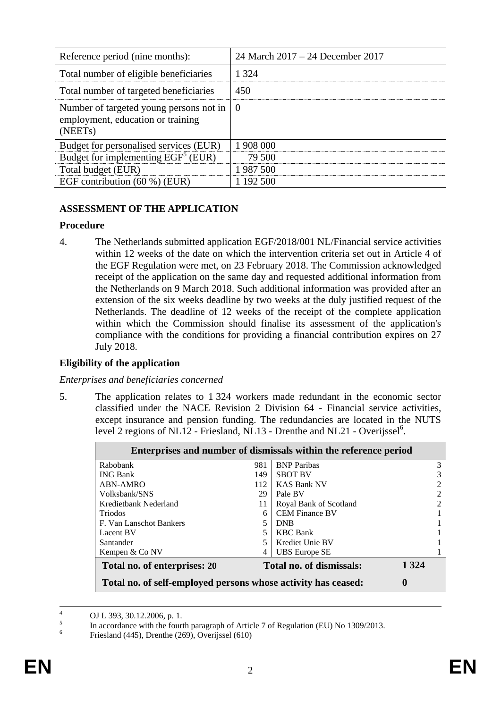| Reference period (nine months):                                                                      | 24 March 2017 – 24 December 2017 |
|------------------------------------------------------------------------------------------------------|----------------------------------|
| Total number of eligible beneficiaries                                                               | 1 3 2 4                          |
| Total number of targeted beneficiaries                                                               | 450                              |
| Number of targeted young persons not in<br>employment, education or training<br>(NEET <sub>s</sub> ) | l ()                             |
| Budget for personalised services (EUR)                                                               | 1 908 000                        |
| Budget for implementing $EGF5 (EUR)$                                                                 | 79 500                           |
| Total budget (EUR)                                                                                   | 1 987 500                        |
| EGF contribution $(60\%)$ (EUR)                                                                      | 1 192 500                        |

## **ASSESSMENT OF THE APPLICATION**

### **Procedure**

4. The Netherlands submitted application [EGF/2018/001](#page-1-0) NL/Financial service activities within 12 weeks of the date on which the intervention criteria set out in Article 4 of the EGF Regulation were met, on 23 February 2018. The Commission acknowledged receipt of the application on the same day and requested additional information from the Netherlands on 9 March 2018. Such additional information was provided after an extension of the six weeks deadline by two weeks at the duly justified request of the Netherlands. The deadline of 12 weeks of the receipt of the complete application within which the Commission should finalise its assessment of the application's compliance with the conditions for providing a financial contribution expires on 27 July 2018.

### **Eligibility of the application**

### *Enterprises and beneficiaries concerned*

5. The application relates to 1 324 workers made redundant in the economic sector classified under the NACE Revision 2 Division 64 - Financial service activities, except insurance and pension funding. The redundancies are located in the NUTS level 2 regions of NL12 - Friesland, NL13 - Drenthe and NL21 - Overijssel<sup>6</sup>.

| Enterprises and number of dismissals within the reference period |     |                          |                |
|------------------------------------------------------------------|-----|--------------------------|----------------|
| Rabobank                                                         | 981 | <b>BNP</b> Paribas       | 3              |
| <b>ING Bank</b>                                                  | 149 | <b>SBOT BV</b>           | 3              |
| ABN-AMRO                                                         | 112 | <b>KAS Bank NV</b>       | $\mathfrak{D}$ |
| Volksbank/SNS                                                    | 29  | Pale BV                  | 2              |
| Kredietbank Nederland                                            | 11  | Royal Bank of Scotland   | $\mathfrak{D}$ |
| <b>Triodos</b>                                                   | 6   | <b>CEM Finance BV</b>    |                |
| F. Van Lanschot Bankers                                          | 5   | <b>DNB</b>               |                |
| Lacent BV                                                        | 5   | <b>KBC</b> Bank          |                |
| Santander                                                        |     | Krediet Unie BV          |                |
| Kempen & Co NV                                                   | 4   | <b>UBS</b> Europe SE     |                |
| Total no. of enterprises: 20                                     |     | Total no. of dismissals: | 1 3 2 4        |
| Total no. of self-employed persons whose activity has ceased:    |     |                          | $\bf{0}$       |

 $\overline{A}$ <sup>4</sup> OJ L 393, 30.12.2006, p. 1.

<sup>5</sup> In accordance with the fourth paragraph of Article 7 of Regulation (EU) No 1309/2013.

<sup>6</sup> Friesland (445), Drenthe (269), Overijssel (610)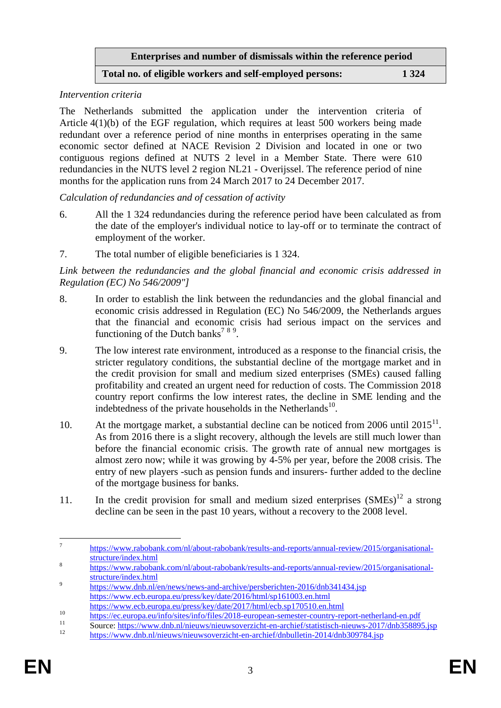**Enterprises and number of dismissals within the reference period**

### **Total no. of eligible workers and self-employed persons: 1 324**

#### *Intervention criteria*

The Netherlands submitted the application under the intervention criteria of Article 4(1)(b) of the EGF regulation, which requires at least 500 workers being made redundant over a reference period of nine months in enterprises operating in the same economic sector defined at NACE Revision 2 Division and located in one or two contiguous regions defined at NUTS 2 level in a Member State. There were 610 redundancies in the NUTS level 2 region NL21 - Overijssel. The reference period of nine months for the application runs from 24 March 2017 to 24 December 2017.

*Calculation of redundancies and of cessation of activity*

- 6. All the 1 324 redundancies during the reference period have been calculated as from the date of the employer's individual notice to lay-off or to terminate the contract of employment of the worker.
- 7. The total number of eligible beneficiaries is 1 324.

*Link between the redundancies and the global financial and economic crisis addressed in Regulation (EC) No 546/2009"]*

- 8. In order to establish the link between the redundancies and the global financial and economic crisis addressed in Regulation (EC) No 546/2009, the Netherlands argues that the financial and economic crisis had serious impact on the services and functioning of the Dutch banks<sup>789</sup>.
- 9. The low interest rate environment, introduced as a response to the financial crisis, the stricter regulatory conditions, the substantial decline of the mortgage market and in the credit provision for small and medium sized enterprises (SMEs) caused falling profitability and created an urgent need for reduction of costs. The Commission 2018 country report confirms the low interest rates, the decline in SME lending and the indebtedness of the private households in the Netherlands $^{10}$ .
- 10. At the mortgage market, a substantial decline can be noticed from 2006 until  $2015<sup>11</sup>$ . As from 2016 there is a slight recovery, although the levels are still much lower than before the financial economic crisis. The growth rate of annual new mortgages is almost zero now; while it was growing by 4-5% per year, before the 2008 crisis. The entry of new players -such as pension funds and insurers- further added to the decline of the mortgage business for banks.
- 11. In the credit provision for small and medium sized enterprises  $(SMEs)^{12}$  a strong decline can be seen in the past 10 years, without a recovery to the 2008 level.

<sup>—&</sup>lt;br>7 [https://www.rabobank.com/nl/about-rabobank/results-and-reports/annual-review/2015/organisational](https://www.rabobank.com/nl/about-rabobank/results-and-reports/annual-review/2015/organisational-structure/index.html)[structure/index.html](https://www.rabobank.com/nl/about-rabobank/results-and-reports/annual-review/2015/organisational-structure/index.html)

<sup>8</sup> [https://www.rabobank.com/nl/about-rabobank/results-and-reports/annual-review/2015/organisational](https://www.rabobank.com/nl/about-rabobank/results-and-reports/annual-review/2015/organisational-structure/index.html)[structure/index.html](https://www.rabobank.com/nl/about-rabobank/results-and-reports/annual-review/2015/organisational-structure/index.html)  $\overline{Q}$ 

<https://www.dnb.nl/en/news/news-and-archive/persberichten-2016/dnb341434.jsp> <https://www.ecb.europa.eu/press/key/date/2016/html/sp161003.en.html>

https://www.ecb.europa.eu/press/key/date/2017/html/ecb.sp170510.en.html

<sup>10</sup> <https://ec.europa.eu/info/sites/info/files/2018-european-semester-country-report-netherland-en.pdf><br>https://ec.europa.eu/info/sites/info/files/2018-european-semester-country-report-netherland-en.pdf<br>11 separa bitmes//www

 $11$  Source:<https://www.dnb.nl/nieuws/nieuwsoverzicht-en-archief/statistisch-nieuws-2017/dnb358895.jsp>

<sup>12</sup> <https://www.dnb.nl/nieuws/nieuwsoverzicht-en-archief/dnbulletin-2014/dnb309784.jsp>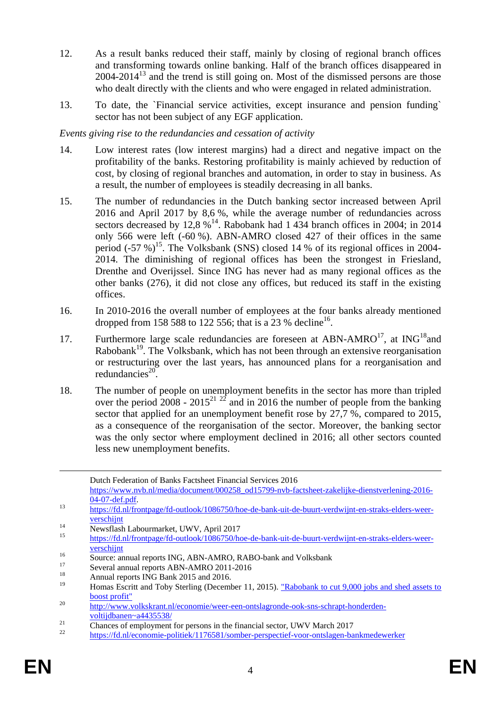- 12. As a result banks reduced their staff, mainly by closing of regional branch offices and transforming towards online banking. Half of the branch offices disappeared in  $2004-2014<sup>13</sup>$  and the trend is still going on. Most of the dismissed persons are those who dealt directly with the clients and who were engaged in related administration.
- 13. To date, the `Financial service activities, except insurance and pension funding` sector has not been subject of any EGF application.

### *Events giving rise to the redundancies and cessation of activity*

- 14. Low interest rates (low interest margins) had a direct and negative impact on the profitability of the banks. Restoring profitability is mainly achieved by reduction of cost, by closing of regional branches and automation, in order to stay in business. As a result, the number of employees is steadily decreasing in all banks.
- 15. The number of redundancies in the Dutch banking sector increased between April 2016 and April 2017 by 8,6 %, while the average number of redundancies across sectors decreased by  $12,8\%$ <sup>14</sup>. Rabobank had 1 434 branch offices in 2004; in 2014 only 566 were left (-60 %). ABN-AMRO closed 427 of their offices in the same period  $(-57\%)$ <sup>15</sup>. The Volksbank (SNS) closed 14 % of its regional offices in 2004-2014. The diminishing of regional offices has been the strongest in Friesland, Drenthe and Overijssel. Since ING has never had as many regional offices as the other banks (276), it did not close any offices, but reduced its staff in the existing offices.
- 16. In 2010-2016 the overall number of employees at the four banks already mentioned dropped from 158 588 to 122 556; that is a 23 % decline<sup>16</sup>.
- 17. Furthermore large scale redundancies are foreseen at ABN-AMRO<sup>17</sup>, at ING<sup>18</sup> and  $Rabobank<sup>19</sup>$ . The Volksbank, which has not been through an extensive reorganisation or restructuring over the last years, has announced plans for a reorganisation and redundancies $^{20}$ .
- 18. The number of people on unemployment benefits in the sector has more than tripled over the period  $2008 - 2015^{21}$   $22$  and in 2016 the number of people from the banking sector that applied for an unemployment benefit rose by 27.7 %, compared to 2015, as a consequence of the reorganisation of the sector. Moreover, the banking sector was the only sector where employment declined in 2016; all other sectors counted less new unemployment benefits.

<sup>14</sup> Newsflash Labourmarket, UWV, April 2017

1

Dutch Federation of Banks Factsheet Financial Services 2016

[https://www.nvb.nl/media/document/000258\\_od15799-nvb-factsheet-zakelijke-dienstverlening-2016-](https://www.nvb.nl/media/document/000258_od15799-nvb-factsheet-zakelijke-dienstverlening-2016-04-07-def.pdf) [04-07-def.pdf.](https://www.nvb.nl/media/document/000258_od15799-nvb-factsheet-zakelijke-dienstverlening-2016-04-07-def.pdf)

<sup>13</sup> [https://fd.nl/frontpage/fd-outlook/1086750/hoe-de-bank-uit-de-buurt-verdwijnt-en-straks-elders-weer](https://fd.nl/frontpage/fd-outlook/1086750/hoe-de-bank-uit-de-buurt-verdwijnt-en-straks-elders-weer-verschijnt)[verschijnt](https://fd.nl/frontpage/fd-outlook/1086750/hoe-de-bank-uit-de-buurt-verdwijnt-en-straks-elders-weer-verschijnt)

<sup>15</sup> [https://fd.nl/frontpage/fd-outlook/1086750/hoe-de-bank-uit-de-buurt-verdwijnt-en-straks-elders-weer](https://fd.nl/frontpage/fd-outlook/1086750/hoe-de-bank-uit-de-buurt-verdwijnt-en-straks-elders-weer-verschijnt)[verschijnt](https://fd.nl/frontpage/fd-outlook/1086750/hoe-de-bank-uit-de-buurt-verdwijnt-en-straks-elders-weer-verschijnt)

<sup>&</sup>lt;sup>16</sup> Source: annual reports ING, ABN-AMRO, RABO-bank and Volksbank

<sup>&</sup>lt;sup>17</sup> Several annual reports ABN-AMRO 2011-2016

<sup>&</sup>lt;sup>18</sup> Annual reports ING Bank 2015 and 2016.

<sup>19</sup> Homas Escritt and Toby Sterling (December 11, 2015). ["Rabobank to cut 9,000 jobs and shed assets to](http://uk.reuters.com/article/us-rabobank-cuts-idUKKBN0TS26F20151211)  [boost profit"](http://uk.reuters.com/article/us-rabobank-cuts-idUKKBN0TS26F20151211)

<sup>20</sup> [http://www.volkskrant.nl/economie/weer-een-ontslagronde-ook-sns-schrapt-honderden](http://www.volkskrant.nl/economie/weer-een-ontslagronde-ook-sns-schrapt-honderden-voltijdbanen~a4435538/)[voltijdbanen~a4435538/](http://www.volkskrant.nl/economie/weer-een-ontslagronde-ook-sns-schrapt-honderden-voltijdbanen~a4435538/)

 $\frac{21}{2}$  Chances of employment for persons in the financial sector, UWV March 2017

<sup>22</sup> <https://fd.nl/economie-politiek/1176581/somber-perspectief-voor-ontslagen-bankmedewerker>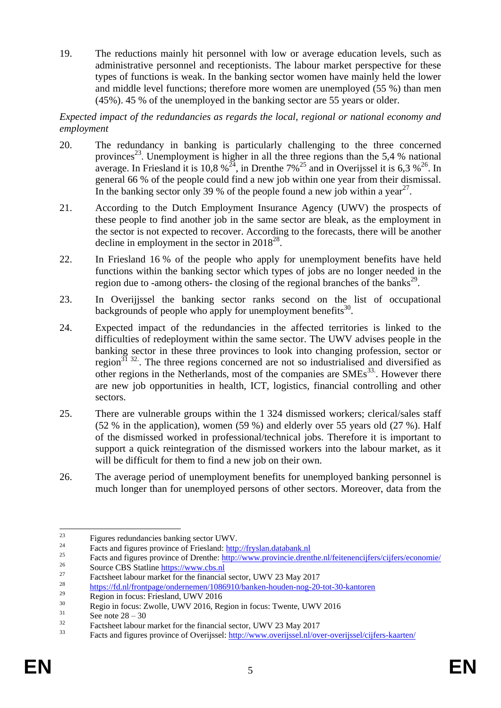19. The reductions mainly hit personnel with low or average education levels, such as administrative personnel and receptionists. The labour market perspective for these types of functions is weak. In the banking sector women have mainly held the lower and middle level functions; therefore more women are unemployed (55 %) than men (45%). 45 % of the unemployed in the banking sector are 55 years or older.

### *Expected impact of the redundancies as regards the local, regional or national economy and employment*

- 20. The redundancy in banking is particularly challenging to the three concerned provinces<sup>23</sup>. Unemployment is higher in all the three regions than the 5,4 % national average. In Friesland it is 10,8 %<sup>24</sup>, in Drenthe 7%<sup>25</sup> and in Overijssel it is 6,3 %<sup>26</sup>. In general 66 % of the people could find a new job within one year from their dismissal. In the banking sector only 39 % of the people found a new job within a year<sup>27</sup>.
- 21. According to the Dutch Employment Insurance Agency (UWV) the prospects of these people to find another job in the same sector are bleak, as the employment in the sector is not expected to recover. According to the forecasts, there will be another decline in employment in the sector in  $2018^{28}$ .
- 22. In Friesland 16 % of the people who apply for unemployment benefits have held functions within the banking sector which types of jobs are no longer needed in the region due to -among others- the closing of the regional branches of the banks<sup>29</sup>.
- 23. In Overijjssel the banking sector ranks second on the list of occupational backgrounds of people who apply for unemployment benefits $^{30}$ .
- 24. Expected impact of the redundancies in the affected territories is linked to the difficulties of redeployment within the same sector. The UWV advises people in the banking sector in these three provinces to look into changing profession, sector or region $^{31}$   $^{32}$ . The three regions concerned are not so industrialised and diversified as other regions in the Netherlands, most of the companies are SMEs<sup>33</sup>. However there are new job opportunities in health, ICT, logistics, financial controlling and other sectors.
- 25. There are vulnerable groups within the 1 324 dismissed workers; clerical/sales staff (52 % in the application), women (59 %) and elderly over 55 years old (27 %). Half of the dismissed worked in professional/technical jobs. Therefore it is important to support a quick reintegration of the dismissed workers into the labour market, as it will be difficult for them to find a new job on their own.
- 26. The average period of unemployment benefits for unemployed banking personnel is much longer than for unemployed persons of other sectors. Moreover, data from the

<sup>23</sup>  $^{23}$  Figures redundancies banking sector UWV.

<sup>&</sup>lt;sup>24</sup> Facts and figures province of Friesland:  $\frac{http://fryslan.databank.nl}{http://fryslan.databank.nl}$ 

<sup>&</sup>lt;sup>25</sup><br>Facts and figures province of Drenthe[: http://www.provincie.drenthe.nl/feitenencijfers/cijfers/economie/](http://www.provincie.drenthe.nl/feitenencijfers/cijfers/economie/)<br><sup>26</sup>  $^{26}$  Source CBS Statline  $\frac{https://www.cbs.nl}{https://www.cbs.nl}$ 

<sup>&</sup>lt;sup>27</sup> Factsheet labour market for the financial sector, UWV 23 May 2017

<sup>&</sup>lt;sup>28</sup> <https://fd.nl/frontpage/ondernemen/1086910/banken-houden-nog-20-tot-30-kantoren>

 $^{29}$  Region in focus: Friesland, UWV 2016

 $\frac{30}{31}$  Regio in focus: Zwolle, UWV 2016, Region in focus: Twente, UWV 2016

 $\frac{31}{32}$  See note  $28 - 30$ 

<sup>&</sup>lt;sup>32</sup> Factsheet labour market for the financial sector, UWV 23 May 2017

<sup>33</sup> Facts and figures province of Overijssel:<http://www.overijssel.nl/over-overijssel/cijfers-kaarten/>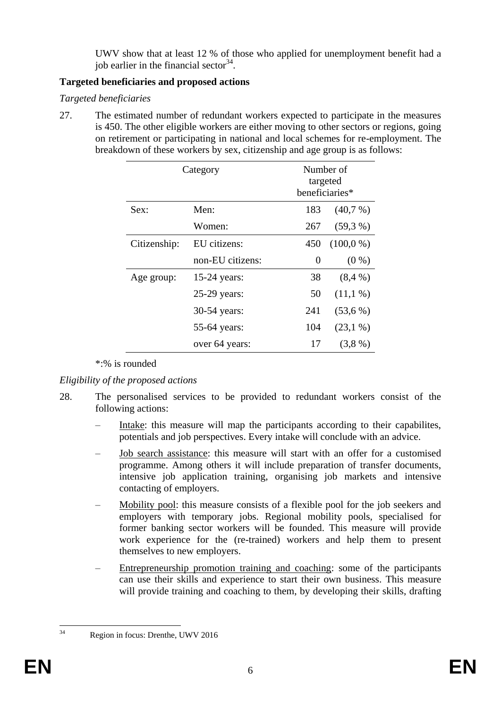UWV show that at least 12 % of those who applied for unemployment benefit had a job earlier in the financial sector  $34$ .

# **Targeted beneficiaries and proposed actions**

# *Targeted beneficiaries*

27. The estimated number of redundant workers expected to participate in the measures is 450. The other eligible workers are either moving to other sectors or regions, going on retirement or participating in national and local schemes for re-employment. The breakdown of these workers by sex, citizenship and age group is as follows:

| Category     |                  | Number of<br>targeted<br>beneficiaries* |             |
|--------------|------------------|-----------------------------------------|-------------|
| Sex:         | Men:             | 183                                     | (40,7%      |
|              | Women:           | 267                                     | (59,3%      |
| Citizenship: | EU citizens:     | 450                                     | $(100,0\%)$ |
|              | non-EU citizens: | 0                                       | $(0\%)$     |
| Age group:   | $15-24$ years:   | 38                                      | (8,4%       |
|              | 25-29 years:     | 50                                      | $(11, 1\%)$ |
|              | 30-54 years:     | 241                                     | (53,6%)     |
|              | 55-64 years:     | 104                                     | $(23,1\%)$  |
|              | over 64 years:   | 17                                      | (3,8%)      |

\*:% is rounded

# *Eligibility of the proposed actions*

- 28. The personalised services to be provided to redundant workers consist of the following actions:
	- Intake: this measure will map the participants according to their capabilities, potentials and job perspectives. Every intake will conclude with an advice.
	- Job search assistance: this measure will start with an offer for a customised programme. Among others it will include preparation of transfer documents, intensive job application training, organising job markets and intensive contacting of employers.
	- Mobility pool: this measure consists of a flexible pool for the job seekers and employers with temporary jobs. Regional mobility pools, specialised for former banking sector workers will be founded. This measure will provide work experience for the (re-trained) workers and help them to present themselves to new employers.
	- Entrepreneurship promotion training and coaching: some of the participants can use their skills and experience to start their own business. This measure will provide training and coaching to them, by developing their skills, drafting

 $34$ Region in focus: Drenthe, UWV 2016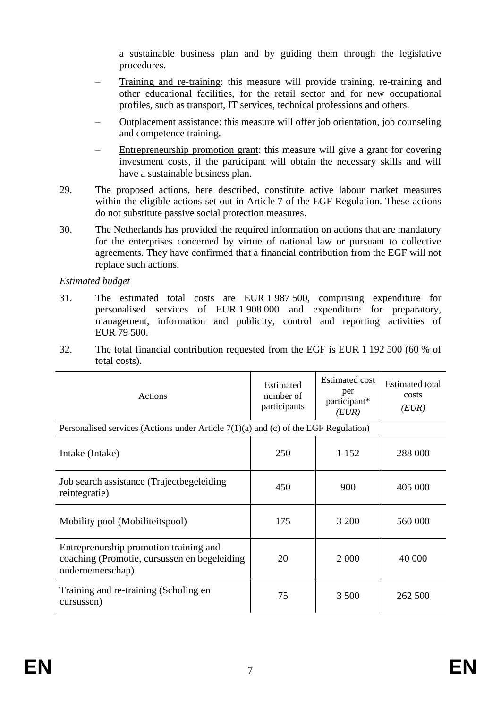a sustainable business plan and by guiding them through the legislative procedures.

- Training and re-training: this measure will provide training, re-training and other educational facilities, for the retail sector and for new occupational profiles, such as transport, IT services, technical professions and others.
- Outplacement assistance: this measure will offer job orientation, job counseling and competence training.
- Entrepreneurship promotion grant: this measure will give a grant for covering investment costs, if the participant will obtain the necessary skills and will have a sustainable business plan.
- 29. The proposed actions, here described, constitute active labour market measures within the eligible actions set out in Article 7 of the EGF Regulation. These actions do not substitute passive social protection measures.
- 30. The Netherlands has provided the required information on actions that are mandatory for the enterprises concerned by virtue of national law or pursuant to collective agreements. They have confirmed that a financial contribution from the EGF will not replace such actions.

*Estimated budget*

- 31. The estimated total costs are EUR 1 987 500, comprising expenditure for personalised services of EUR 1 908 000 and expenditure for preparatory, management, information and publicity, control and reporting activities of EUR 79 500.
- 32. The total financial contribution requested from the EGF is EUR 1 192 500 (60 % of total costs).

| Actions                                                                                                    | Estimated<br>number of<br>participants | Estimated cost<br>per<br>participant*<br>(EUR) | Estimated total<br>costs<br>(EUR) |
|------------------------------------------------------------------------------------------------------------|----------------------------------------|------------------------------------------------|-----------------------------------|
| Personalised services (Actions under Article $7(1)(a)$ and (c) of the EGF Regulation)                      |                                        |                                                |                                   |
| Intake (Intake)                                                                                            | 250                                    | 1 1 5 2                                        | 288 000                           |
| Job search assistance (Trajectbegeleiding)<br>reintegratie)                                                | 450                                    | 900                                            | 405 000                           |
| Mobility pool (Mobiliteitspool)                                                                            | 175                                    | 3 200                                          | 560 000                           |
| Entreprenurship promotion training and<br>coaching (Promotie, cursussen en begeleiding<br>ondernemerschap) | 20                                     | 2 0 0 0                                        | 40 000                            |
| Training and re-training (Scholing en<br>cursussen)                                                        | 75                                     | 3 500                                          | 262 500                           |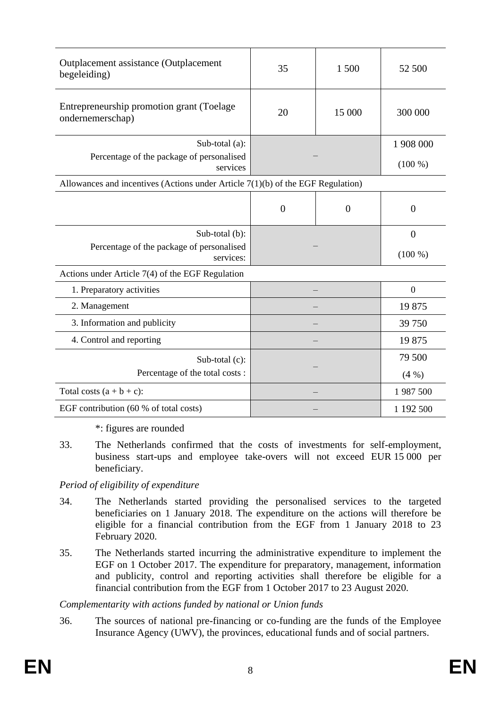| Outplacement assistance (Outplacement<br>begeleiding)                             | 35             | 1 500          | 52 500         |
|-----------------------------------------------------------------------------------|----------------|----------------|----------------|
| Entrepreneurship promotion grant (Toelage)<br>ondernemerschap)                    | 20             | 15 000         | 300 000        |
| Sub-total (a):                                                                    |                |                | 1 908 000      |
| Percentage of the package of personalised<br>services                             |                |                | $(100\%)$      |
| Allowances and incentives (Actions under Article $7(1)(b)$ of the EGF Regulation) |                |                |                |
|                                                                                   | $\overline{0}$ | $\overline{0}$ | $\overline{0}$ |
| Sub-total (b):                                                                    |                |                | $\overline{0}$ |
| Percentage of the package of personalised<br>services:                            |                |                | $(100\%)$      |
| Actions under Article 7(4) of the EGF Regulation                                  |                |                |                |
| 1. Preparatory activities                                                         |                |                | $\overline{0}$ |
| 2. Management                                                                     |                |                | 19875          |
| 3. Information and publicity                                                      |                |                | 39 750         |
| 4. Control and reporting                                                          |                |                | 19875          |
| Sub-total (c):                                                                    |                |                | 79 500         |
| Percentage of the total costs:                                                    |                |                | $(4\%)$        |
| Total costs $(a + b + c)$ :                                                       |                |                | 1 987 500      |
| EGF contribution (60 % of total costs)                                            |                |                | 1 192 500      |

\*: figures are rounded

33. The Netherlands confirmed that the costs of investments for self-employment, business start-ups and employee take-overs will not exceed EUR 15 000 per beneficiary.

## *Period of eligibility of expenditure*

- 34. The Netherlands started providing the personalised services to the targeted beneficiaries on 1 January 2018. The expenditure on the actions will therefore be eligible for a financial contribution from the EGF from 1 January 2018 to 23 February 2020.
- 35. The Netherlands started incurring the administrative expenditure to implement the EGF on 1 October 2017. The expenditure for preparatory, management, information and publicity, control and reporting activities shall therefore be eligible for a financial contribution from the EGF from 1 October 2017 to 23 August 2020.

## *Complementarity with actions funded by national or Union funds*

36. The sources of national pre-financing or co-funding are the funds of the Employee Insurance Agency (UWV), the provinces, educational funds and of social partners.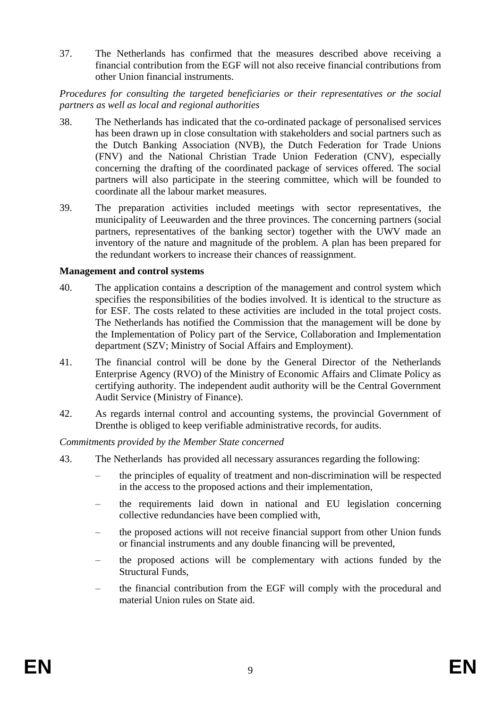37. The Netherlands has confirmed that the measures described above receiving a financial contribution from the EGF will not also receive financial contributions from other Union financial instruments.

### *Procedures for consulting the targeted beneficiaries or their representatives or the social partners as well as local and regional authorities*

- 38. The Netherlands has indicated that the co-ordinated package of personalised services has been drawn up in close consultation with stakeholders and social partners such as the Dutch Banking Association (NVB), the Dutch Federation for Trade Unions (FNV) and the National Christian Trade Union Federation (CNV), especially concerning the drafting of the coordinated package of services offered. The social partners will also participate in the steering committee, which will be founded to coordinate all the labour market measures.
- 39. The preparation activities included meetings with sector representatives, the municipality of Leeuwarden and the three provinces. The concerning partners (social partners, representatives of the banking sector) together with the UWV made an inventory of the nature and magnitude of the problem. A plan has been prepared for the redundant workers to increase their chances of reassignment.

### **Management and control systems**

- 40. The application contains a description of the management and control system which specifies the responsibilities of the bodies involved. It is identical to the structure as for ESF. The costs related to these activities are included in the total project costs. The Netherlands has notified the Commission that the management will be done by the Implementation of Policy part of the Service, Collaboration and Implementation department (SZV; Ministry of Social Affairs and Employment).
- 41. The financial control will be done by the General Director of the Netherlands Enterprise Agency (RVO) of the Ministry of Economic Affairs and Climate Policy as certifying authority. The independent audit authority will be the Central Government Audit Service (Ministry of Finance).
- 42. As regards internal control and accounting systems, the provincial Government of Drenthe is obliged to keep verifiable administrative records, for audits.

*Commitments provided by the Member State concerned*

- 43. The Netherlands has provided all necessary assurances regarding the following:
	- the principles of equality of treatment and non-discrimination will be respected in the access to the proposed actions and their implementation,
	- the requirements laid down in national and EU legislation concerning collective redundancies have been complied with,
	- the proposed actions will not receive financial support from other Union funds or financial instruments and any double financing will be prevented,
	- the proposed actions will be complementary with actions funded by the Structural Funds,
	- the financial contribution from the EGF will comply with the procedural and material Union rules on State aid.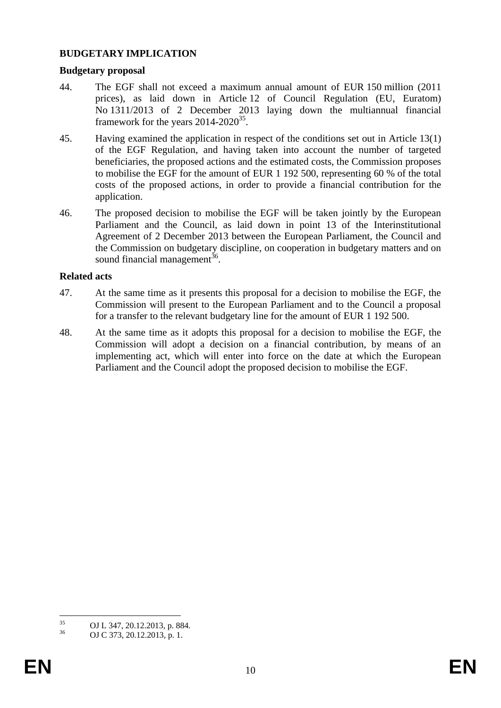### **BUDGETARY IMPLICATION**

#### **Budgetary proposal**

- 44. The EGF shall not exceed a maximum annual amount of EUR 150 million (2011 prices), as laid down in Article 12 of Council Regulation (EU, Euratom) No 1311/2013 of 2 December 2013 laying down the multiannual financial framework for the years  $2014 - 2020^{35}$ .
- 45. Having examined the application in respect of the conditions set out in Article 13(1) of the EGF Regulation, and having taken into account the number of targeted beneficiaries, the proposed actions and the estimated costs, the Commission proposes to mobilise the EGF for the amount of EUR 1 192 500, representing 60 % of the total costs of the proposed actions, in order to provide a financial contribution for the application.
- 46. The proposed decision to mobilise the EGF will be taken jointly by the European Parliament and the Council, as laid down in point 13 of the Interinstitutional Agreement of 2 December 2013 between the European Parliament, the Council and the Commission on budgetary discipline, on cooperation in budgetary matters and on sound financial management<sup>36</sup>.

#### **Related acts**

- 47. At the same time as it presents this proposal for a decision to mobilise the EGF, the Commission will present to the European Parliament and to the Council a proposal for a transfer to the relevant budgetary line for the amount of EUR 1 192 500.
- 48. At the same time as it adopts this proposal for a decision to mobilise the EGF, the Commission will adopt a decision on a financial contribution, by means of an implementing act, which will enter into force on the date at which the European Parliament and the Council adopt the proposed decision to mobilise the EGF.

 $35$  $^{35}$  OJ L 347, 20.12.2013, p. 884.

OJ C 373, 20.12.2013, p. 1.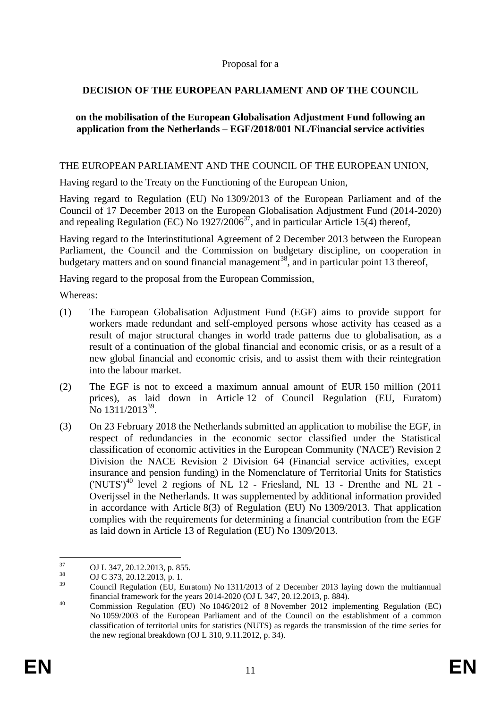### Proposal for a

# **DECISION OF THE EUROPEAN PARLIAMENT AND OF THE COUNCIL**

### **on the mobilisation of the European Globalisation Adjustment Fund following an application from the Netherlands – EGF/2018/001 NL/Financial service activities**

#### THE EUROPEAN PARLIAMENT AND THE COUNCIL OF THE EUROPEAN UNION,

Having regard to the Treaty on the Functioning of the European Union,

Having regard to Regulation (EU) No 1309/2013 of the European Parliament and of the Council of 17 December 2013 on the European Globalisation Adjustment Fund (2014-2020) and repealing Regulation (EC) No  $1927/2006^{37}$ , and in particular Article 15(4) thereof,

Having regard to the Interinstitutional Agreement of 2 December 2013 between the European Parliament, the Council and the Commission on budgetary discipline, on cooperation in budgetary matters and on sound financial management<sup>38</sup>, and in particular point 13 thereof,

Having regard to the proposal from the European Commission,

Whereas:

- (1) The European Globalisation Adjustment Fund (EGF) aims to provide support for workers made redundant and self-employed persons whose activity has ceased as a result of major structural changes in world trade patterns due to globalisation, as a result of a continuation of the global financial and economic crisis, or as a result of a new global financial and economic crisis, and to assist them with their reintegration into the labour market.
- (2) The EGF is not to exceed a maximum annual amount of EUR 150 million (2011 prices), as laid down in Article 12 of Council Regulation (EU, Euratom) No 1311/2013<sup>39</sup>.
- (3) On 23 February 2018 the Netherlands submitted an application to mobilise the EGF, in respect of redundancies in the economic sector classified under the Statistical classification of economic activities in the European Community ('NACE') Revision 2 Division the NACE Revision 2 Division 64 (Financial service activities, except insurance and pension funding) in the Nomenclature of Territorial Units for Statistics ('NUTS')<sup>40</sup> level 2 regions of NL 12 - Friesland, NL 13 - Drenthe and NL 21 - Overijssel in the Netherlands. It was supplemented by additional information provided in accordance with Article 8(3) of Regulation (EU) No 1309/2013. That application complies with the requirements for determining a financial contribution from the EGF as laid down in Article 13 of Regulation (EU) No 1309/2013.

<sup>37</sup>  $^{37}$  OJ L 347, 20.12.2013, p. 855.<br> $^{38}$  OJ C 372, 20.12.2013, p. 855.

 $^{38}$  OJ C 373, 20.12.2013, p. 1.

<sup>39</sup> Council Regulation (EU, Euratom) No 1311/2013 of 2 December 2013 laying down the multiannual financial framework for the years 2014-2020 (OJ L 347, 20.12.2013, p. 884).

<sup>&</sup>lt;sup>40</sup> Commission Regulation (EU) No 1046/2012 of 8 November 2012 implementing Regulation (EC) No 1059/2003 of the European Parliament and of the Council on the establishment of a common classification of territorial units for statistics (NUTS) as regards the transmission of the time series for the new regional breakdown (OJ L 310, 9.11.2012, p. 34).